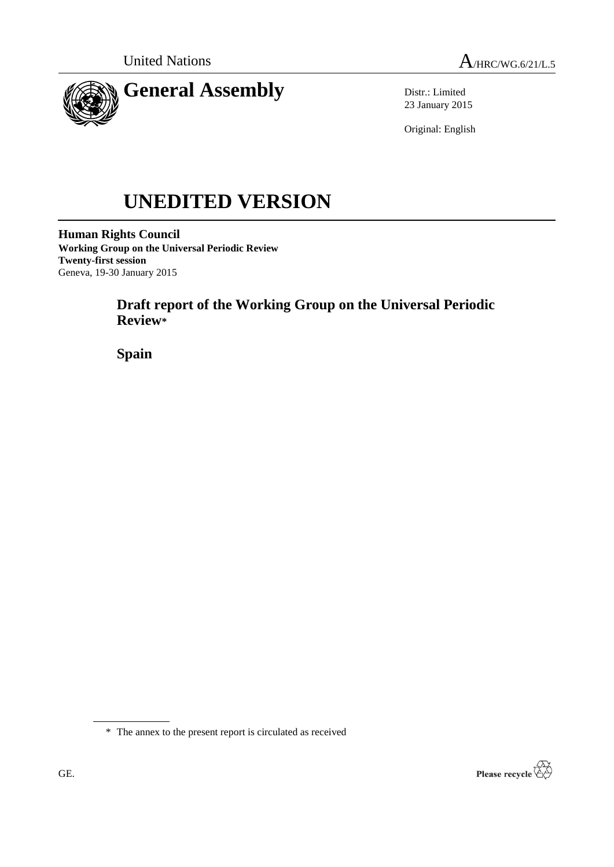

Distr.: Limited 23 January 2015

Original: English

# **UNEDITED VERSION**

**Human Rights Council Working Group on the Universal Periodic Review Twenty-first session** Geneva, 19-30 January 2015

# **Draft report of the Working Group on the Universal Periodic Review\***

**Spain**

\* The annex to the present report is circulated as received

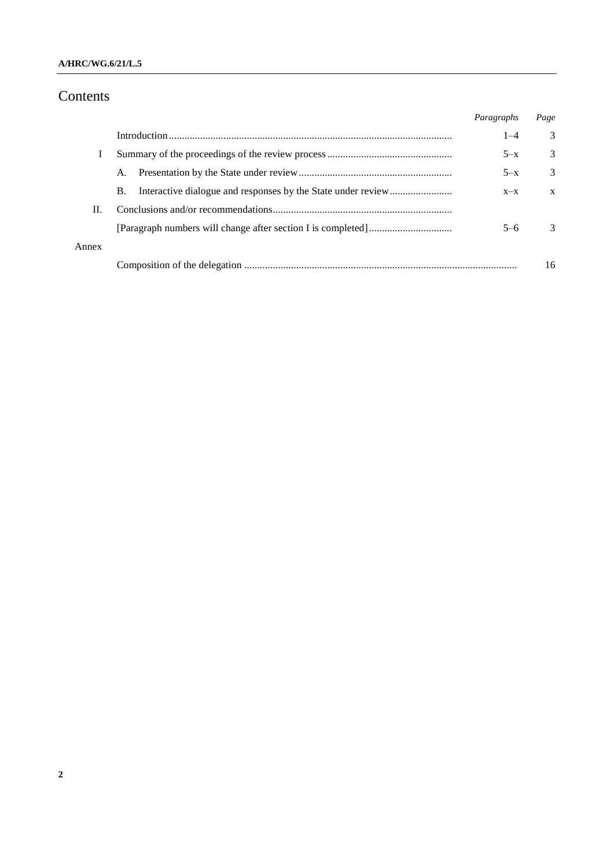## **A/HRC/WG.6/21/L.5**

# Contents

|       |    | Paragraphs | Page          |
|-------|----|------------|---------------|
|       |    | $1 - 4$    | 3             |
|       |    | $5-x$      | 3             |
|       | A. | $5-x$      | 3             |
|       | В. | $X-X$      | X             |
| Н.    |    |            |               |
|       |    | $5-6$      | $\mathcal{R}$ |
| Annex |    |            |               |
|       |    |            | 16            |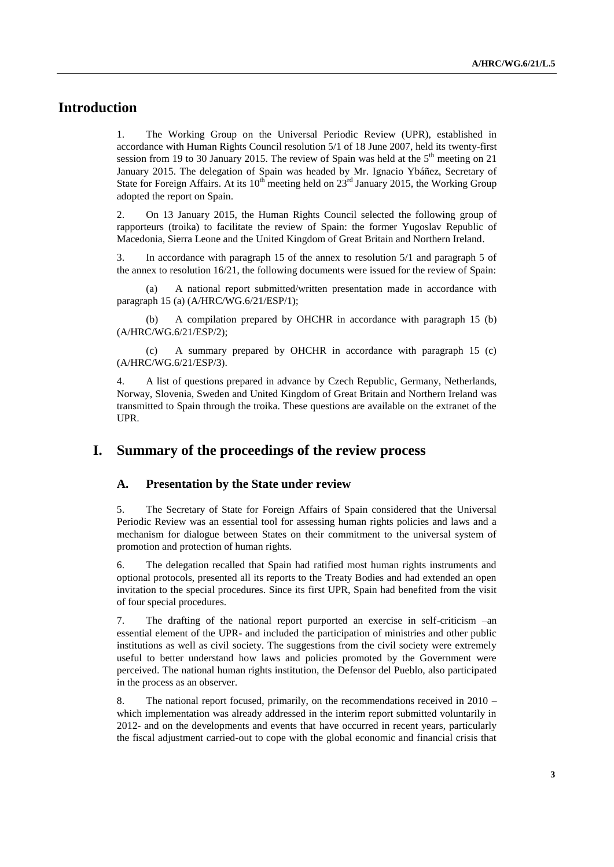# **Introduction**

1. The Working Group on the Universal Periodic Review (UPR), established in accordance with Human Rights Council resolution 5/1 of 18 June 2007, held its twenty-first session from 19 to 30 January 2015. The review of Spain was held at the  $5<sup>th</sup>$  meeting on 21 January 2015. The delegation of Spain was headed by Mr. Ignacio Ybáñez, Secretary of State for Foreign Affairs. At its  $10^{th}$  meeting held on  $23^{rd}$  January 2015, the Working Group adopted the report on Spain.

2. On 13 January 2015, the Human Rights Council selected the following group of rapporteurs (troika) to facilitate the review of Spain: the former Yugoslav Republic of Macedonia, Sierra Leone and the United Kingdom of Great Britain and Northern Ireland.

3. In accordance with paragraph 15 of the annex to resolution 5/1 and paragraph 5 of the annex to resolution 16/21, the following documents were issued for the review of Spain:

(a) A national report submitted/written presentation made in accordance with paragraph 15 (a) (A/HRC/WG.6/21/ESP/1);

(b) A compilation prepared by OHCHR in accordance with paragraph 15 (b) (A/HRC/WG.6/21/ESP/2);

(c) A summary prepared by OHCHR in accordance with paragraph 15 (c) (A/HRC/WG.6/21/ESP/3).

4. A list of questions prepared in advance by Czech Republic, Germany, Netherlands, Norway, Slovenia, Sweden and United Kingdom of Great Britain and Northern Ireland was transmitted to Spain through the troika. These questions are available on the extranet of the UPR.

# **I. Summary of the proceedings of the review process**

#### **A. Presentation by the State under review**

5. The Secretary of State for Foreign Affairs of Spain considered that the Universal Periodic Review was an essential tool for assessing human rights policies and laws and a mechanism for dialogue between States on their commitment to the universal system of promotion and protection of human rights.

6. The delegation recalled that Spain had ratified most human rights instruments and optional protocols, presented all its reports to the Treaty Bodies and had extended an open invitation to the special procedures. Since its first UPR, Spain had benefited from the visit of four special procedures.

7. The drafting of the national report purported an exercise in self-criticism –an essential element of the UPR- and included the participation of ministries and other public institutions as well as civil society. The suggestions from the civil society were extremely useful to better understand how laws and policies promoted by the Government were perceived. The national human rights institution, the Defensor del Pueblo, also participated in the process as an observer.

8. The national report focused, primarily, on the recommendations received in 2010 – which implementation was already addressed in the interim report submitted voluntarily in 2012- and on the developments and events that have occurred in recent years, particularly the fiscal adjustment carried-out to cope with the global economic and financial crisis that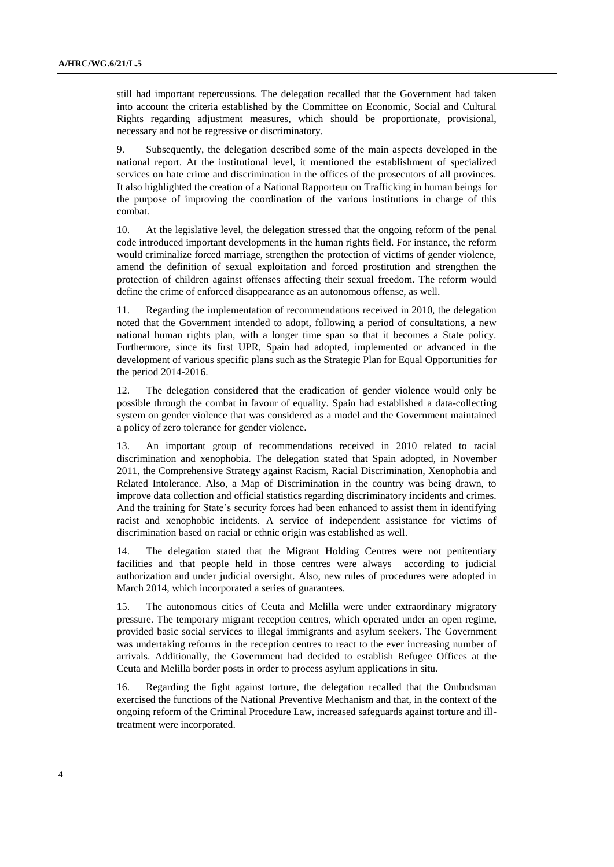still had important repercussions. The delegation recalled that the Government had taken into account the criteria established by the Committee on Economic, Social and Cultural Rights regarding adjustment measures, which should be proportionate, provisional, necessary and not be regressive or discriminatory.

9. Subsequently, the delegation described some of the main aspects developed in the national report. At the institutional level, it mentioned the establishment of specialized services on hate crime and discrimination in the offices of the prosecutors of all provinces. It also highlighted the creation of a National Rapporteur on Trafficking in human beings for the purpose of improving the coordination of the various institutions in charge of this combat.

10. At the legislative level, the delegation stressed that the ongoing reform of the penal code introduced important developments in the human rights field. For instance, the reform would criminalize forced marriage, strengthen the protection of victims of gender violence, amend the definition of sexual exploitation and forced prostitution and strengthen the protection of children against offenses affecting their sexual freedom. The reform would define the crime of enforced disappearance as an autonomous offense, as well.

11. Regarding the implementation of recommendations received in 2010, the delegation noted that the Government intended to adopt, following a period of consultations, a new national human rights plan, with a longer time span so that it becomes a State policy. Furthermore, since its first UPR, Spain had adopted, implemented or advanced in the development of various specific plans such as the Strategic Plan for Equal Opportunities for the period 2014-2016.

12. The delegation considered that the eradication of gender violence would only be possible through the combat in favour of equality. Spain had established a data-collecting system on gender violence that was considered as a model and the Government maintained a policy of zero tolerance for gender violence.

13. An important group of recommendations received in 2010 related to racial discrimination and xenophobia. The delegation stated that Spain adopted, in November 2011, the Comprehensive Strategy against Racism, Racial Discrimination, Xenophobia and Related Intolerance. Also, a Map of Discrimination in the country was being drawn, to improve data collection and official statistics regarding discriminatory incidents and crimes. And the training for State's security forces had been enhanced to assist them in identifying racist and xenophobic incidents. A service of independent assistance for victims of discrimination based on racial or ethnic origin was established as well.

14. The delegation stated that the Migrant Holding Centres were not penitentiary facilities and that people held in those centres were always according to judicial authorization and under judicial oversight. Also, new rules of procedures were adopted in March 2014, which incorporated a series of guarantees.

15. The autonomous cities of Ceuta and Melilla were under extraordinary migratory pressure. The temporary migrant reception centres, which operated under an open regime, provided basic social services to illegal immigrants and asylum seekers. The Government was undertaking reforms in the reception centres to react to the ever increasing number of arrivals. Additionally, the Government had decided to establish Refugee Offices at the Ceuta and Melilla border posts in order to process asylum applications in situ.

16. Regarding the fight against torture, the delegation recalled that the Ombudsman exercised the functions of the National Preventive Mechanism and that, in the context of the ongoing reform of the Criminal Procedure Law, increased safeguards against torture and illtreatment were incorporated.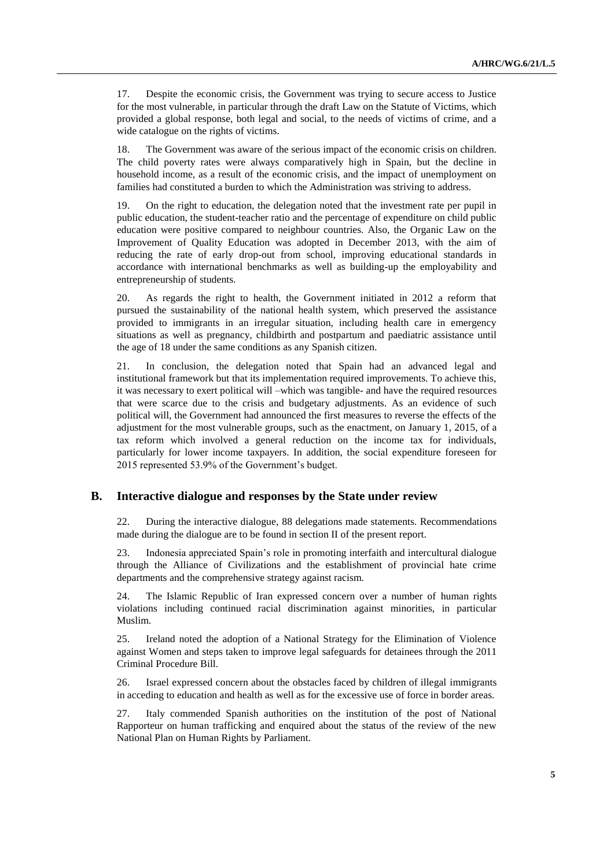17. Despite the economic crisis, the Government was trying to secure access to Justice for the most vulnerable, in particular through the draft Law on the Statute of Victims, which provided a global response, both legal and social, to the needs of victims of crime, and a wide catalogue on the rights of victims.

18. The Government was aware of the serious impact of the economic crisis on children. The child poverty rates were always comparatively high in Spain, but the decline in household income, as a result of the economic crisis, and the impact of unemployment on families had constituted a burden to which the Administration was striving to address.

19. On the right to education, the delegation noted that the investment rate per pupil in public education, the student-teacher ratio and the percentage of expenditure on child public education were positive compared to neighbour countries. Also, the Organic Law on the Improvement of Quality Education was adopted in December 2013, with the aim of reducing the rate of early drop-out from school, improving educational standards in accordance with international benchmarks as well as building-up the employability and entrepreneurship of students.

20. As regards the right to health, the Government initiated in 2012 a reform that pursued the sustainability of the national health system, which preserved the assistance provided to immigrants in an irregular situation, including health care in emergency situations as well as pregnancy, childbirth and postpartum and paediatric assistance until the age of 18 under the same conditions as any Spanish citizen.

21. In conclusion, the delegation noted that Spain had an advanced legal and institutional framework but that its implementation required improvements. To achieve this, it was necessary to exert political will –which was tangible- and have the required resources that were scarce due to the crisis and budgetary adjustments. As an evidence of such political will, the Government had announced the first measures to reverse the effects of the adjustment for the most vulnerable groups, such as the enactment, on January 1, 2015, of a tax reform which involved a general reduction on the income tax for individuals, particularly for lower income taxpayers. In addition, the social expenditure foreseen for 2015 represented 53.9% of the Government's budget.

#### **B. Interactive dialogue and responses by the State under review**

22. During the interactive dialogue, 88 delegations made statements. Recommendations made during the dialogue are to be found in section II of the present report.

23. Indonesia appreciated Spain's role in promoting interfaith and intercultural dialogue through the Alliance of Civilizations and the establishment of provincial hate crime departments and the comprehensive strategy against racism.

24. The Islamic Republic of Iran expressed concern over a number of human rights violations including continued racial discrimination against minorities, in particular Muslim.

25. Ireland noted the adoption of a National Strategy for the Elimination of Violence against Women and steps taken to improve legal safeguards for detainees through the 2011 Criminal Procedure Bill.

26. Israel expressed concern about the obstacles faced by children of illegal immigrants in acceding to education and health as well as for the excessive use of force in border areas.

27. Italy commended Spanish authorities on the institution of the post of National Rapporteur on human trafficking and enquired about the status of the review of the new National Plan on Human Rights by Parliament.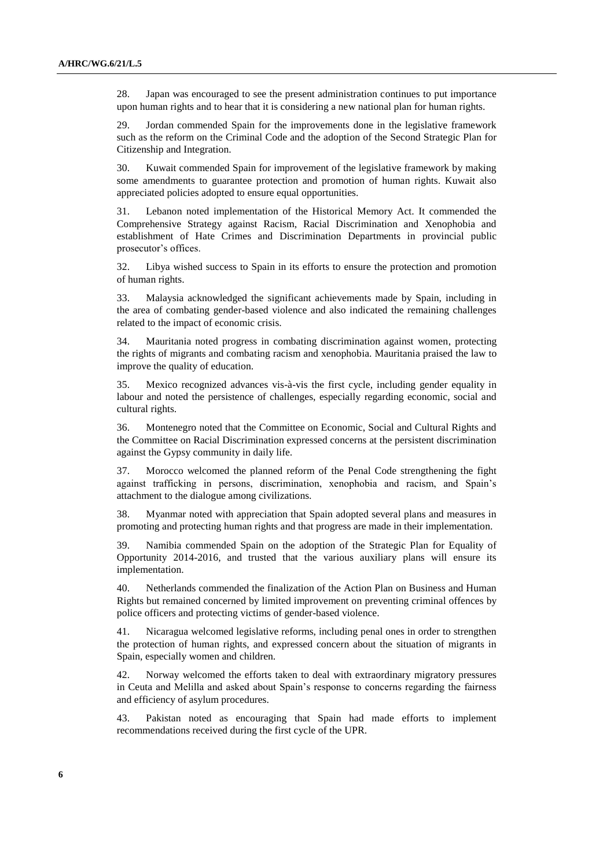28. Japan was encouraged to see the present administration continues to put importance upon human rights and to hear that it is considering a new national plan for human rights.

29. Jordan commended Spain for the improvements done in the legislative framework such as the reform on the Criminal Code and the adoption of the Second Strategic Plan for Citizenship and Integration.

30. Kuwait commended Spain for improvement of the legislative framework by making some amendments to guarantee protection and promotion of human rights. Kuwait also appreciated policies adopted to ensure equal opportunities.

31. Lebanon noted implementation of the Historical Memory Act. It commended the Comprehensive Strategy against Racism, Racial Discrimination and Xenophobia and establishment of Hate Crimes and Discrimination Departments in provincial public prosecutor's offices.

32. Libya wished success to Spain in its efforts to ensure the protection and promotion of human rights.

33. Malaysia acknowledged the significant achievements made by Spain, including in the area of combating gender-based violence and also indicated the remaining challenges related to the impact of economic crisis.

34. Mauritania noted progress in combating discrimination against women, protecting the rights of migrants and combating racism and xenophobia. Mauritania praised the law to improve the quality of education.

35. Mexico recognized advances vis-à-vis the first cycle, including gender equality in labour and noted the persistence of challenges, especially regarding economic, social and cultural rights.

36. Montenegro noted that the Committee on Economic, Social and Cultural Rights and the Committee on Racial Discrimination expressed concerns at the persistent discrimination against the Gypsy community in daily life.

37. Morocco welcomed the planned reform of the Penal Code strengthening the fight against trafficking in persons, discrimination, xenophobia and racism, and Spain's attachment to the dialogue among civilizations.

38. Myanmar noted with appreciation that Spain adopted several plans and measures in promoting and protecting human rights and that progress are made in their implementation.

39. Namibia commended Spain on the adoption of the Strategic Plan for Equality of Opportunity 2014-2016, and trusted that the various auxiliary plans will ensure its implementation.

40. Netherlands commended the finalization of the Action Plan on Business and Human Rights but remained concerned by limited improvement on preventing criminal offences by police officers and protecting victims of gender-based violence.

41. Nicaragua welcomed legislative reforms, including penal ones in order to strengthen the protection of human rights, and expressed concern about the situation of migrants in Spain, especially women and children.

42. Norway welcomed the efforts taken to deal with extraordinary migratory pressures in Ceuta and Melilla and asked about Spain's response to concerns regarding the fairness and efficiency of asylum procedures.

43. Pakistan noted as encouraging that Spain had made efforts to implement recommendations received during the first cycle of the UPR.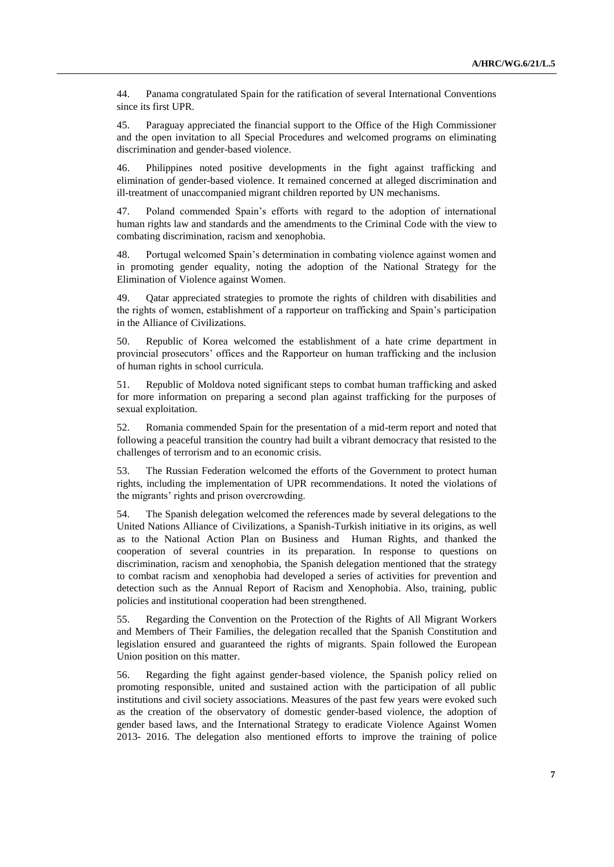44. Panama congratulated Spain for the ratification of several International Conventions since its first UPR.

45. Paraguay appreciated the financial support to the Office of the High Commissioner and the open invitation to all Special Procedures and welcomed programs on eliminating discrimination and gender-based violence.

46. Philippines noted positive developments in the fight against trafficking and elimination of gender-based violence. It remained concerned at alleged discrimination and ill-treatment of unaccompanied migrant children reported by UN mechanisms.

47. Poland commended Spain's efforts with regard to the adoption of international human rights law and standards and the amendments to the Criminal Code with the view to combating discrimination, racism and xenophobia.

48. Portugal welcomed Spain's determination in combating violence against women and in promoting gender equality, noting the adoption of the National Strategy for the Elimination of Violence against Women.

49. Qatar appreciated strategies to promote the rights of children with disabilities and the rights of women, establishment of a rapporteur on trafficking and Spain's participation in the Alliance of Civilizations.

50. Republic of Korea welcomed the establishment of a hate crime department in provincial prosecutors' offices and the Rapporteur on human trafficking and the inclusion of human rights in school curricula.

51. Republic of Moldova noted significant steps to combat human trafficking and asked for more information on preparing a second plan against trafficking for the purposes of sexual exploitation.

52. Romania commended Spain for the presentation of a mid-term report and noted that following a peaceful transition the country had built a vibrant democracy that resisted to the challenges of terrorism and to an economic crisis.

53. The Russian Federation welcomed the efforts of the Government to protect human rights, including the implementation of UPR recommendations. It noted the violations of the migrants' rights and prison overcrowding.

54. The Spanish delegation welcomed the references made by several delegations to the United Nations Alliance of Civilizations, a Spanish-Turkish initiative in its origins, as well as to the National Action Plan on Business and Human Rights, and thanked the cooperation of several countries in its preparation. In response to questions on discrimination, racism and xenophobia, the Spanish delegation mentioned that the strategy to combat racism and xenophobia had developed a series of activities for prevention and detection such as the Annual Report of Racism and Xenophobia. Also, training, public policies and institutional cooperation had been strengthened.

55. Regarding the Convention on the Protection of the Rights of All Migrant Workers and Members of Their Families, the delegation recalled that the Spanish Constitution and legislation ensured and guaranteed the rights of migrants. Spain followed the European Union position on this matter.

56. Regarding the fight against gender-based violence, the Spanish policy relied on promoting responsible, united and sustained action with the participation of all public institutions and civil society associations. Measures of the past few years were evoked such as the creation of the observatory of domestic gender-based violence, the adoption of gender based laws, and the International Strategy to eradicate Violence Against Women 2013- 2016. The delegation also mentioned efforts to improve the training of police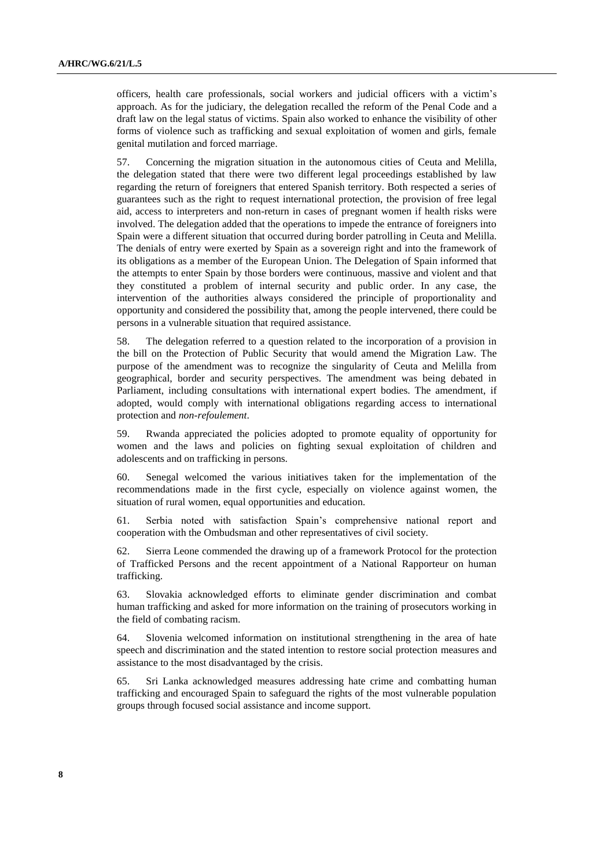officers, health care professionals, social workers and judicial officers with a victim's approach. As for the judiciary, the delegation recalled the reform of the Penal Code and a draft law on the legal status of victims. Spain also worked to enhance the visibility of other forms of violence such as trafficking and sexual exploitation of women and girls, female genital mutilation and forced marriage.

57. Concerning the migration situation in the autonomous cities of Ceuta and Melilla, the delegation stated that there were two different legal proceedings established by law regarding the return of foreigners that entered Spanish territory. Both respected a series of guarantees such as the right to request international protection, the provision of free legal aid, access to interpreters and non-return in cases of pregnant women if health risks were involved. The delegation added that the operations to impede the entrance of foreigners into Spain were a different situation that occurred during border patrolling in Ceuta and Melilla. The denials of entry were exerted by Spain as a sovereign right and into the framework of its obligations as a member of the European Union. The Delegation of Spain informed that the attempts to enter Spain by those borders were continuous, massive and violent and that they constituted a problem of internal security and public order. In any case, the intervention of the authorities always considered the principle of proportionality and opportunity and considered the possibility that, among the people intervened, there could be persons in a vulnerable situation that required assistance.

58. The delegation referred to a question related to the incorporation of a provision in the bill on the Protection of Public Security that would amend the Migration Law. The purpose of the amendment was to recognize the singularity of Ceuta and Melilla from geographical, border and security perspectives. The amendment was being debated in Parliament, including consultations with international expert bodies. The amendment, if adopted, would comply with international obligations regarding access to international protection and *non-refoulement*.

59. Rwanda appreciated the policies adopted to promote equality of opportunity for women and the laws and policies on fighting sexual exploitation of children and adolescents and on trafficking in persons.

60. Senegal welcomed the various initiatives taken for the implementation of the recommendations made in the first cycle, especially on violence against women, the situation of rural women, equal opportunities and education.

61. Serbia noted with satisfaction Spain's comprehensive national report and cooperation with the Ombudsman and other representatives of civil society.

62. Sierra Leone commended the drawing up of a framework Protocol for the protection of Trafficked Persons and the recent appointment of a National Rapporteur on human trafficking.

63. Slovakia acknowledged efforts to eliminate gender discrimination and combat human trafficking and asked for more information on the training of prosecutors working in the field of combating racism.

64. Slovenia welcomed information on institutional strengthening in the area of hate speech and discrimination and the stated intention to restore social protection measures and assistance to the most disadvantaged by the crisis.

65. Sri Lanka acknowledged measures addressing hate crime and combatting human trafficking and encouraged Spain to safeguard the rights of the most vulnerable population groups through focused social assistance and income support.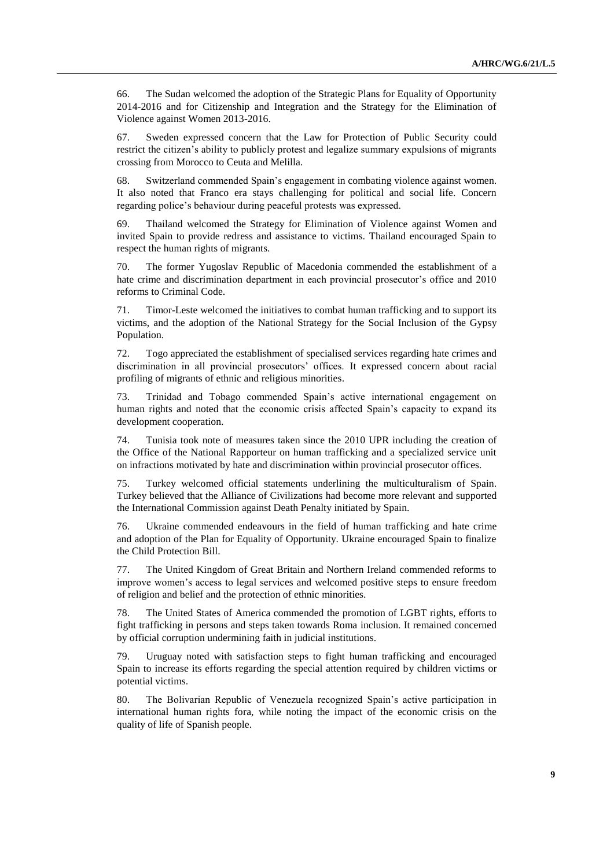66. The Sudan welcomed the adoption of the Strategic Plans for Equality of Opportunity 2014-2016 and for Citizenship and Integration and the Strategy for the Elimination of Violence against Women 2013-2016.

67. Sweden expressed concern that the Law for Protection of Public Security could restrict the citizen's ability to publicly protest and legalize summary expulsions of migrants crossing from Morocco to Ceuta and Melilla.

68. Switzerland commended Spain's engagement in combating violence against women. It also noted that Franco era stays challenging for political and social life. Concern regarding police's behaviour during peaceful protests was expressed.

69. Thailand welcomed the Strategy for Elimination of Violence against Women and invited Spain to provide redress and assistance to victims. Thailand encouraged Spain to respect the human rights of migrants.

70. The former Yugoslav Republic of Macedonia commended the establishment of a hate crime and discrimination department in each provincial prosecutor's office and 2010 reforms to Criminal Code.

71. Timor-Leste welcomed the initiatives to combat human trafficking and to support its victims, and the adoption of the National Strategy for the Social Inclusion of the Gypsy Population.

72. Togo appreciated the establishment of specialised services regarding hate crimes and discrimination in all provincial prosecutors' offices. It expressed concern about racial profiling of migrants of ethnic and religious minorities.

73. Trinidad and Tobago commended Spain's active international engagement on human rights and noted that the economic crisis affected Spain's capacity to expand its development cooperation.

74. Tunisia took note of measures taken since the 2010 UPR including the creation of the Office of the National Rapporteur on human trafficking and a specialized service unit on infractions motivated by hate and discrimination within provincial prosecutor offices.

75. Turkey welcomed official statements underlining the multiculturalism of Spain. Turkey believed that the Alliance of Civilizations had become more relevant and supported the International Commission against Death Penalty initiated by Spain.

76. Ukraine commended endeavours in the field of human trafficking and hate crime and adoption of the Plan for Equality of Opportunity. Ukraine encouraged Spain to finalize the Child Protection Bill.

77. The United Kingdom of Great Britain and Northern Ireland commended reforms to improve women's access to legal services and welcomed positive steps to ensure freedom of religion and belief and the protection of ethnic minorities.

78. The United States of America commended the promotion of LGBT rights, efforts to fight trafficking in persons and steps taken towards Roma inclusion. It remained concerned by official corruption undermining faith in judicial institutions.

79. Uruguay noted with satisfaction steps to fight human trafficking and encouraged Spain to increase its efforts regarding the special attention required by children victims or potential victims.

80. The Bolivarian Republic of Venezuela recognized Spain's active participation in international human rights fora, while noting the impact of the economic crisis on the quality of life of Spanish people.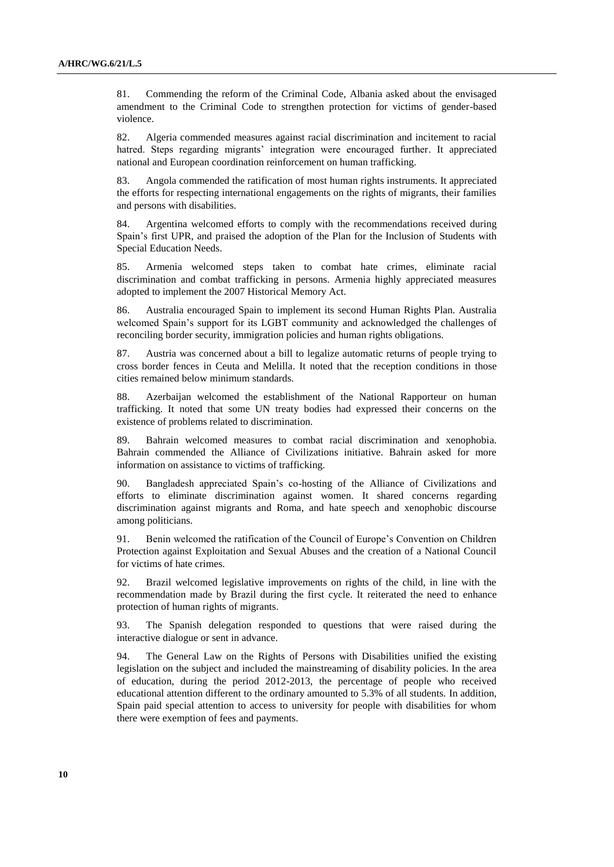81. Commending the reform of the Criminal Code, Albania asked about the envisaged amendment to the Criminal Code to strengthen protection for victims of gender-based violence.

82. Algeria commended measures against racial discrimination and incitement to racial hatred. Steps regarding migrants' integration were encouraged further. It appreciated national and European coordination reinforcement on human trafficking.

83. Angola commended the ratification of most human rights instruments. It appreciated the efforts for respecting international engagements on the rights of migrants, their families and persons with disabilities.

84. Argentina welcomed efforts to comply with the recommendations received during Spain's first UPR, and praised the adoption of the Plan for the Inclusion of Students with Special Education Needs.

85. Armenia welcomed steps taken to combat hate crimes, eliminate racial discrimination and combat trafficking in persons. Armenia highly appreciated measures adopted to implement the 2007 Historical Memory Act.

86. Australia encouraged Spain to implement its second Human Rights Plan. Australia welcomed Spain's support for its LGBT community and acknowledged the challenges of reconciling border security, immigration policies and human rights obligations.

87. Austria was concerned about a bill to legalize automatic returns of people trying to cross border fences in Ceuta and Melilla. It noted that the reception conditions in those cities remained below minimum standards.

88. Azerbaijan welcomed the establishment of the National Rapporteur on human trafficking. It noted that some UN treaty bodies had expressed their concerns on the existence of problems related to discrimination.

89. Bahrain welcomed measures to combat racial discrimination and xenophobia. Bahrain commended the Alliance of Civilizations initiative. Bahrain asked for more information on assistance to victims of trafficking.

90. Bangladesh appreciated Spain's co-hosting of the Alliance of Civilizations and efforts to eliminate discrimination against women. It shared concerns regarding discrimination against migrants and Roma, and hate speech and xenophobic discourse among politicians.

91. Benin welcomed the ratification of the Council of Europe's Convention on Children Protection against Exploitation and Sexual Abuses and the creation of a National Council for victims of hate crimes.

92. Brazil welcomed legislative improvements on rights of the child, in line with the recommendation made by Brazil during the first cycle. It reiterated the need to enhance protection of human rights of migrants.

93. The Spanish delegation responded to questions that were raised during the interactive dialogue or sent in advance.

94. The General Law on the Rights of Persons with Disabilities unified the existing legislation on the subject and included the mainstreaming of disability policies. In the area of education, during the period 2012-2013, the percentage of people who received educational attention different to the ordinary amounted to 5.3% of all students. In addition, Spain paid special attention to access to university for people with disabilities for whom there were exemption of fees and payments.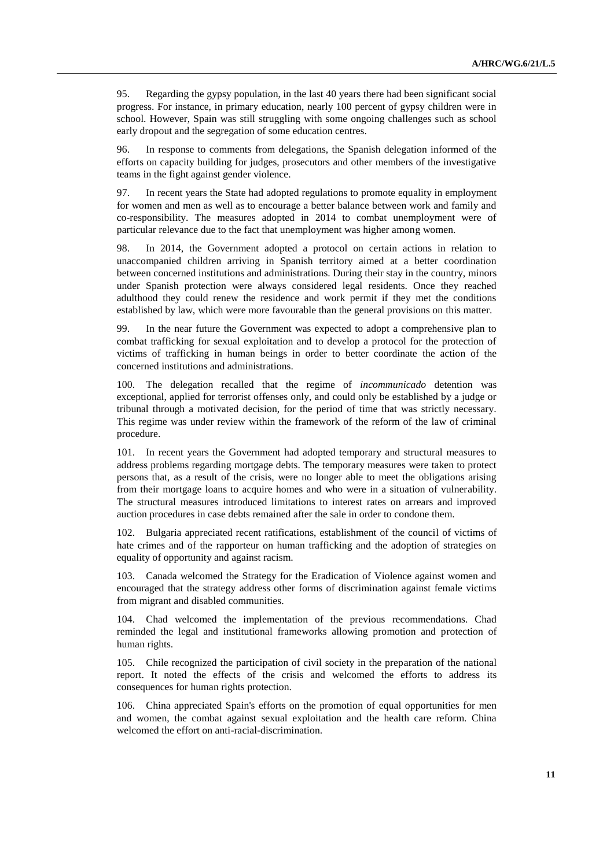95. Regarding the gypsy population, in the last 40 years there had been significant social progress. For instance, in primary education, nearly 100 percent of gypsy children were in school. However, Spain was still struggling with some ongoing challenges such as school early dropout and the segregation of some education centres.

96. In response to comments from delegations, the Spanish delegation informed of the efforts on capacity building for judges, prosecutors and other members of the investigative teams in the fight against gender violence.

97. In recent years the State had adopted regulations to promote equality in employment for women and men as well as to encourage a better balance between work and family and co-responsibility. The measures adopted in 2014 to combat unemployment were of particular relevance due to the fact that unemployment was higher among women.

98. In 2014, the Government adopted a protocol on certain actions in relation to unaccompanied children arriving in Spanish territory aimed at a better coordination between concerned institutions and administrations. During their stay in the country, minors under Spanish protection were always considered legal residents. Once they reached adulthood they could renew the residence and work permit if they met the conditions established by law, which were more favourable than the general provisions on this matter.

99. In the near future the Government was expected to adopt a comprehensive plan to combat trafficking for sexual exploitation and to develop a protocol for the protection of victims of trafficking in human beings in order to better coordinate the action of the concerned institutions and administrations.

100. The delegation recalled that the regime of *incommunicado* detention was exceptional, applied for terrorist offenses only, and could only be established by a judge or tribunal through a motivated decision, for the period of time that was strictly necessary. This regime was under review within the framework of the reform of the law of criminal procedure.

101. In recent years the Government had adopted temporary and structural measures to address problems regarding mortgage debts. The temporary measures were taken to protect persons that, as a result of the crisis, were no longer able to meet the obligations arising from their mortgage loans to acquire homes and who were in a situation of vulnerability. The structural measures introduced limitations to interest rates on arrears and improved auction procedures in case debts remained after the sale in order to condone them.

102. Bulgaria appreciated recent ratifications, establishment of the council of victims of hate crimes and of the rapporteur on human trafficking and the adoption of strategies on equality of opportunity and against racism.

103. Canada welcomed the Strategy for the Eradication of Violence against women and encouraged that the strategy address other forms of discrimination against female victims from migrant and disabled communities.

104. Chad welcomed the implementation of the previous recommendations. Chad reminded the legal and institutional frameworks allowing promotion and protection of human rights.

105. Chile recognized the participation of civil society in the preparation of the national report. It noted the effects of the crisis and welcomed the efforts to address its consequences for human rights protection.

106. China appreciated Spain's efforts on the promotion of equal opportunities for men and women, the combat against sexual exploitation and the health care reform. China welcomed the effort on anti-racial-discrimination.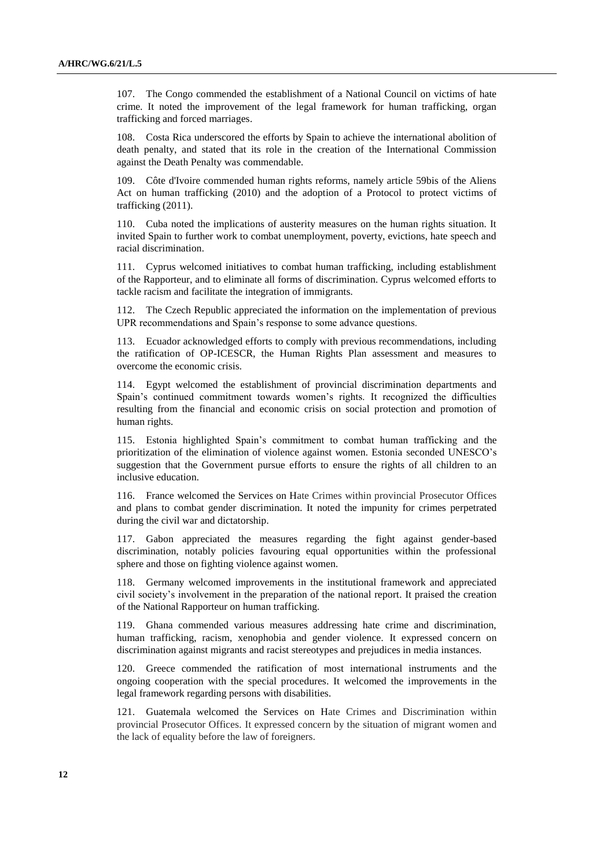107. The Congo commended the establishment of a National Council on victims of hate crime. It noted the improvement of the legal framework for human trafficking, organ trafficking and forced marriages.

108. Costa Rica underscored the efforts by Spain to achieve the international abolition of death penalty, and stated that its role in the creation of the International Commission against the Death Penalty was commendable.

109. Côte d'Ivoire commended human rights reforms, namely article 59bis of the Aliens Act on human trafficking (2010) and the adoption of a Protocol to protect victims of trafficking (2011).

110. Cuba noted the implications of austerity measures on the human rights situation. It invited Spain to further work to combat unemployment, poverty, evictions, hate speech and racial discrimination.

111. Cyprus welcomed initiatives to combat human trafficking, including establishment of the Rapporteur, and to eliminate all forms of discrimination. Cyprus welcomed efforts to tackle racism and facilitate the integration of immigrants.

112. The Czech Republic appreciated the information on the implementation of previous UPR recommendations and Spain's response to some advance questions.

113. Ecuador acknowledged efforts to comply with previous recommendations, including the ratification of OP-ICESCR, the Human Rights Plan assessment and measures to overcome the economic crisis.

114. Egypt welcomed the establishment of provincial discrimination departments and Spain's continued commitment towards women's rights. It recognized the difficulties resulting from the financial and economic crisis on social protection and promotion of human rights.

115. Estonia highlighted Spain's commitment to combat human trafficking and the prioritization of the elimination of violence against women. Estonia seconded UNESCO's suggestion that the Government pursue efforts to ensure the rights of all children to an inclusive education.

116. France welcomed the Services on Hate Crimes within provincial Prosecutor Offices and plans to combat gender discrimination. It noted the impunity for crimes perpetrated during the civil war and dictatorship.

117. Gabon appreciated the measures regarding the fight against gender-based discrimination, notably policies favouring equal opportunities within the professional sphere and those on fighting violence against women.

118. Germany welcomed improvements in the institutional framework and appreciated civil society's involvement in the preparation of the national report. It praised the creation of the National Rapporteur on human trafficking.

119. Ghana commended various measures addressing hate crime and discrimination, human trafficking, racism, xenophobia and gender violence. It expressed concern on discrimination against migrants and racist stereotypes and prejudices in media instances.

120. Greece commended the ratification of most international instruments and the ongoing cooperation with the special procedures. It welcomed the improvements in the legal framework regarding persons with disabilities.

121. Guatemala welcomed the Services on Hate Crimes and Discrimination within provincial Prosecutor Offices. It expressed concern by the situation of migrant women and the lack of equality before the law of foreigners.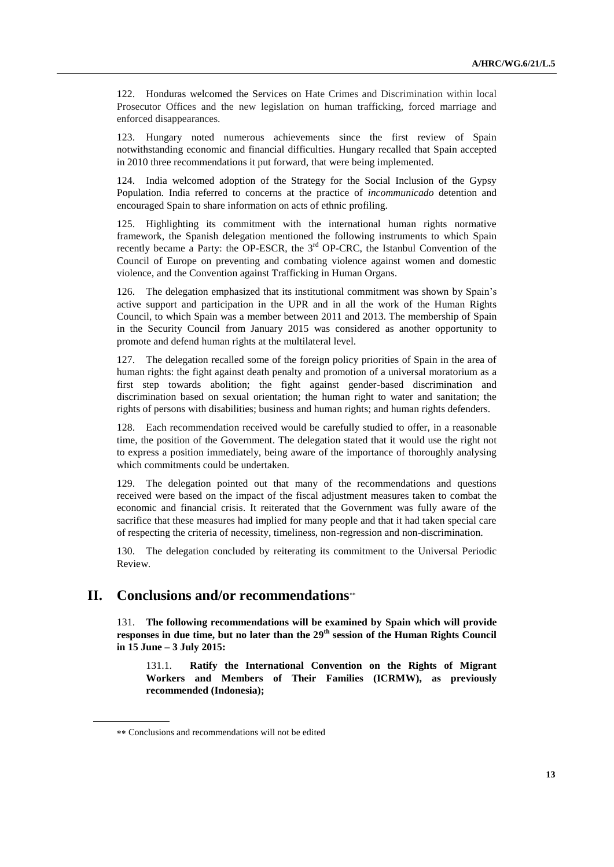122. Honduras welcomed the Services on Hate Crimes and Discrimination within local Prosecutor Offices and the new legislation on human trafficking, forced marriage and enforced disappearances.

123. Hungary noted numerous achievements since the first review of Spain notwithstanding economic and financial difficulties. Hungary recalled that Spain accepted in 2010 three recommendations it put forward, that were being implemented.

124. India welcomed adoption of the Strategy for the Social Inclusion of the Gypsy Population. India referred to concerns at the practice of *incommunicado* detention and encouraged Spain to share information on acts of ethnic profiling.

125. Highlighting its commitment with the international human rights normative framework, the Spanish delegation mentioned the following instruments to which Spain recently became a Party: the OP-ESCR, the 3rd OP-CRC, the Istanbul Convention of the Council of Europe on preventing and combating violence against women and domestic violence, and the Convention against Trafficking in Human Organs.

126. The delegation emphasized that its institutional commitment was shown by Spain's active support and participation in the UPR and in all the work of the Human Rights Council, to which Spain was a member between 2011 and 2013. The membership of Spain in the Security Council from January 2015 was considered as another opportunity to promote and defend human rights at the multilateral level.

127. The delegation recalled some of the foreign policy priorities of Spain in the area of human rights: the fight against death penalty and promotion of a universal moratorium as a first step towards abolition; the fight against gender-based discrimination and discrimination based on sexual orientation; the human right to water and sanitation; the rights of persons with disabilities; business and human rights; and human rights defenders.

Each recommendation received would be carefully studied to offer, in a reasonable time, the position of the Government. The delegation stated that it would use the right not to express a position immediately, being aware of the importance of thoroughly analysing which commitments could be undertaken.

129. The delegation pointed out that many of the recommendations and questions received were based on the impact of the fiscal adjustment measures taken to combat the economic and financial crisis. It reiterated that the Government was fully aware of the sacrifice that these measures had implied for many people and that it had taken special care of respecting the criteria of necessity, timeliness, non-regression and non-discrimination.

130. The delegation concluded by reiterating its commitment to the Universal Periodic Review.

## **II. Conclusions and/or recommendations**

131. **The following recommendations will be examined by Spain which will provide responses in due time, but no later than the 29 th session of the Human Rights Council in 15 June – 3 July 2015:**

131.1. **Ratify the International Convention on the Rights of Migrant Workers and Members of Their Families (ICRMW), as previously recommended (Indonesia);**

Conclusions and recommendations will not be edited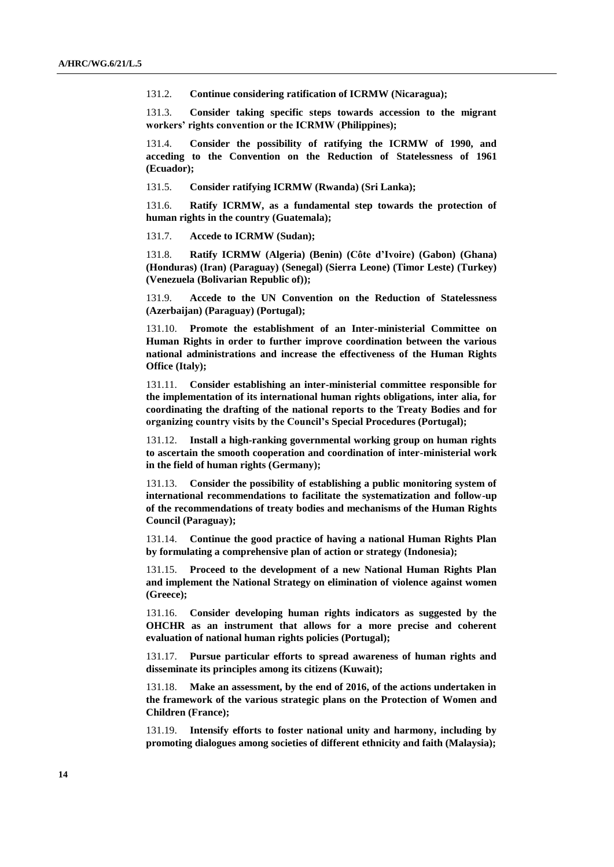131.2. **Continue considering ratification of ICRMW (Nicaragua);**

131.3. **Consider taking specific steps towards accession to the migrant workers' rights convention or the ICRMW (Philippines);**

131.4. **Consider the possibility of ratifying the ICRMW of 1990, and acceding to the Convention on the Reduction of Statelessness of 1961 (Ecuador);**

131.5. **Consider ratifying ICRMW (Rwanda) (Sri Lanka);** 

131.6. **Ratify ICRMW, as a fundamental step towards the protection of human rights in the country (Guatemala);**

131.7. **Accede to ICRMW (Sudan);**

131.8. **Ratify ICRMW (Algeria) (Benin) (Côte d'Ivoire) (Gabon) (Ghana) (Honduras) (Iran) (Paraguay) (Senegal) (Sierra Leone) (Timor Leste) (Turkey) (Venezuela (Bolivarian Republic of));**

131.9. **Accede to the UN Convention on the Reduction of Statelessness (Azerbaijan) (Paraguay) (Portugal);**

131.10. **Promote the establishment of an Inter-ministerial Committee on Human Rights in order to further improve coordination between the various national administrations and increase the effectiveness of the Human Rights Office (Italy);**

131.11. **Consider establishing an inter-ministerial committee responsible for the implementation of its international human rights obligations, inter alia, for coordinating the drafting of the national reports to the Treaty Bodies and for organizing country visits by the Council's Special Procedures (Portugal);**

131.12. **Install a high-ranking governmental working group on human rights to ascertain the smooth cooperation and coordination of inter-ministerial work in the field of human rights (Germany);**

131.13. **Consider the possibility of establishing a public monitoring system of international recommendations to facilitate the systematization and follow-up of the recommendations of treaty bodies and mechanisms of the Human Rights Council (Paraguay);**

131.14. **Continue the good practice of having a national Human Rights Plan by formulating a comprehensive plan of action or strategy (Indonesia);** 

131.15. **Proceed to the development of a new National Human Rights Plan and implement the National Strategy on elimination of violence against women (Greece);**

131.16. **Consider developing human rights indicators as suggested by the OHCHR as an instrument that allows for a more precise and coherent evaluation of national human rights policies (Portugal);**

131.17. **Pursue particular efforts to spread awareness of human rights and disseminate its principles among its citizens (Kuwait);**

131.18. **Make an assessment, by the end of 2016, of the actions undertaken in the framework of the various strategic plans on the Protection of Women and Children (France);**

131.19. **Intensify efforts to foster national unity and harmony, including by promoting dialogues among societies of different ethnicity and faith (Malaysia);**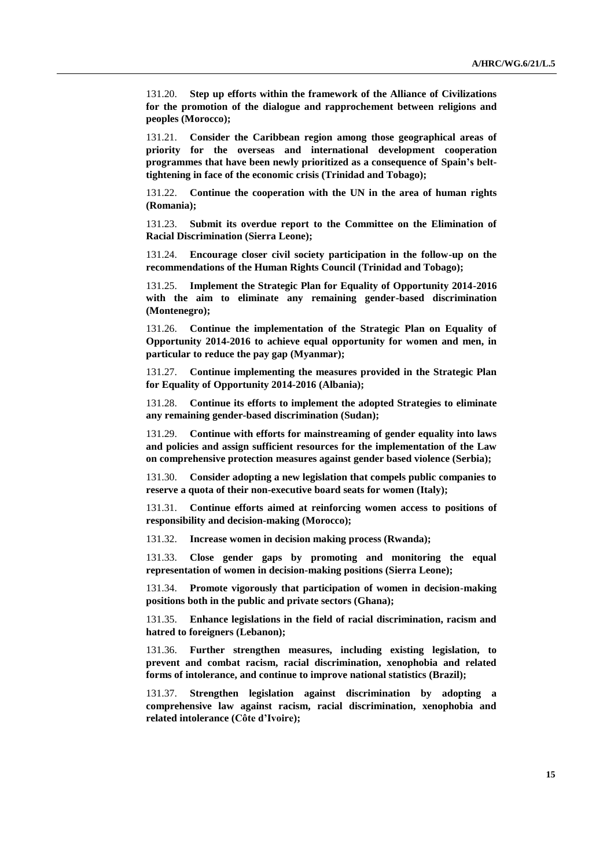131.20. **Step up efforts within the framework of the Alliance of Civilizations for the promotion of the dialogue and rapprochement between religions and peoples (Morocco);**

131.21. **Consider the Caribbean region among those geographical areas of priority for the overseas and international development cooperation programmes that have been newly prioritized as a consequence of Spain's belttightening in face of the economic crisis (Trinidad and Tobago);**

131.22. **Continue the cooperation with the UN in the area of human rights (Romania);**

131.23. **Submit its overdue report to the Committee on the Elimination of Racial Discrimination (Sierra Leone);**

131.24. **Encourage closer civil society participation in the follow-up on the recommendations of the Human Rights Council (Trinidad and Tobago);**

131.25. **Implement the Strategic Plan for Equality of Opportunity 2014-2016 with the aim to eliminate any remaining gender-based discrimination (Montenegro);**

131.26. **Continue the implementation of the Strategic Plan on Equality of Opportunity 2014-2016 to achieve equal opportunity for women and men, in particular to reduce the pay gap (Myanmar);**

131.27. **Continue implementing the measures provided in the Strategic Plan for Equality of Opportunity 2014-2016 (Albania);** 

131.28. **Continue its efforts to implement the adopted Strategies to eliminate any remaining gender-based discrimination (Sudan);**

131.29. **Continue with efforts for mainstreaming of gender equality into laws and policies and assign sufficient resources for the implementation of the Law on comprehensive protection measures against gender based violence (Serbia);** 

131.30. **Consider adopting a new legislation that compels public companies to reserve a quota of their non-executive board seats for women (Italy);**

131.31. **Continue efforts aimed at reinforcing women access to positions of responsibility and decision-making (Morocco);** 

131.32. **Increase women in decision making process (Rwanda);** 

131.33. **Close gender gaps by promoting and monitoring the equal representation of women in decision-making positions (Sierra Leone);**

131.34. **Promote vigorously that participation of women in decision-making positions both in the public and private sectors (Ghana);**

131.35. **Enhance legislations in the field of racial discrimination, racism and hatred to foreigners (Lebanon);**

131.36. **Further strengthen measures, including existing legislation, to prevent and combat racism, racial discrimination, xenophobia and related forms of intolerance, and continue to improve national statistics (Brazil);**

131.37. **Strengthen legislation against discrimination by adopting a comprehensive law against racism, racial discrimination, xenophobia and related intolerance (Côte d'Ivoire);**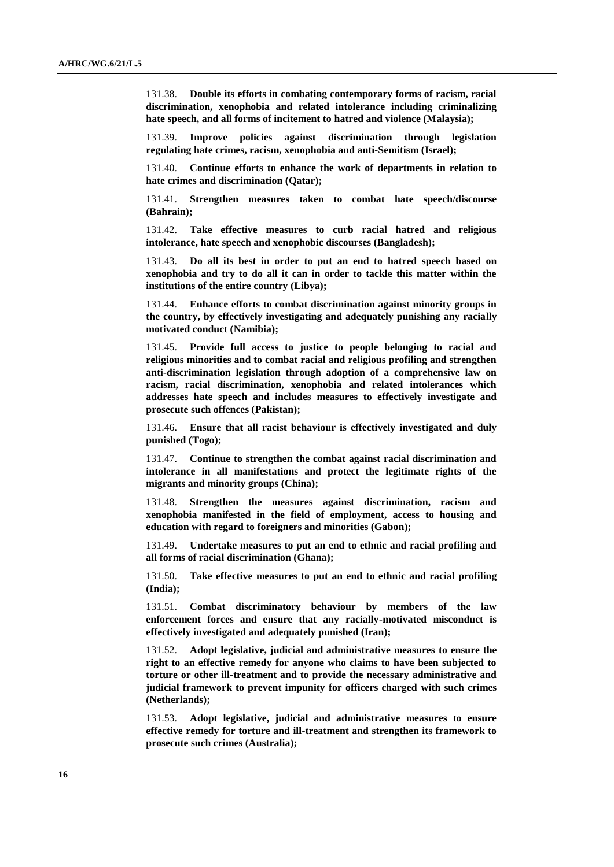131.38. **Double its efforts in combating contemporary forms of racism, racial discrimination, xenophobia and related intolerance including criminalizing hate speech, and all forms of incitement to hatred and violence (Malaysia);**

131.39. **Improve policies against discrimination through legislation regulating hate crimes, racism, xenophobia and anti-Semitism (Israel);**

131.40. **Continue efforts to enhance the work of departments in relation to hate crimes and discrimination (Qatar);**

131.41. **Strengthen measures taken to combat hate speech/discourse (Bahrain);** 

131.42. **Take effective measures to curb racial hatred and religious intolerance, hate speech and xenophobic discourses (Bangladesh);** 

131.43. **Do all its best in order to put an end to hatred speech based on xenophobia and try to do all it can in order to tackle this matter within the institutions of the entire country (Libya);**

131.44. **Enhance efforts to combat discrimination against minority groups in the country, by effectively investigating and adequately punishing any racially motivated conduct (Namibia);**

131.45. **Provide full access to justice to people belonging to racial and religious minorities and to combat racial and religious profiling and strengthen anti-discrimination legislation through adoption of a comprehensive law on racism, racial discrimination, xenophobia and related intolerances which addresses hate speech and includes measures to effectively investigate and prosecute such offences (Pakistan);**

131.46. **Ensure that all racist behaviour is effectively investigated and duly punished (Togo);**

131.47. **Continue to strengthen the combat against racial discrimination and intolerance in all manifestations and protect the legitimate rights of the migrants and minority groups (China);**

131.48. **Strengthen the measures against discrimination, racism and xenophobia manifested in the field of employment, access to housing and education with regard to foreigners and minorities (Gabon);**

131.49. **Undertake measures to put an end to ethnic and racial profiling and all forms of racial discrimination (Ghana);**

131.50. **Take effective measures to put an end to ethnic and racial profiling (India);**

131.51. **Combat discriminatory behaviour by members of the law enforcement forces and ensure that any racially-motivated misconduct is effectively investigated and adequately punished (Iran);**

131.52. **Adopt legislative, judicial and administrative measures to ensure the right to an effective remedy for anyone who claims to have been subjected to torture or other ill-treatment and to provide the necessary administrative and judicial framework to prevent impunity for officers charged with such crimes (Netherlands);**

131.53. **Adopt legislative, judicial and administrative measures to ensure effective remedy for torture and ill-treatment and strengthen its framework to prosecute such crimes (Australia);**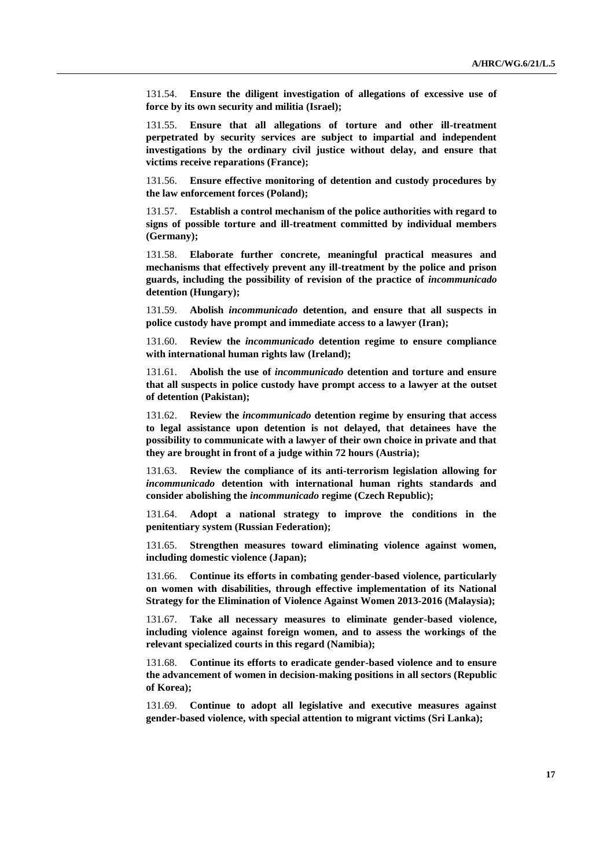131.54. **Ensure the diligent investigation of allegations of excessive use of force by its own security and militia (Israel);**

131.55. **Ensure that all allegations of torture and other ill-treatment perpetrated by security services are subject to impartial and independent investigations by the ordinary civil justice without delay, and ensure that victims receive reparations (France);**

131.56. **Ensure effective monitoring of detention and custody procedures by the law enforcement forces (Poland);**

131.57. **Establish a control mechanism of the police authorities with regard to signs of possible torture and ill-treatment committed by individual members (Germany);**

131.58. **Elaborate further concrete, meaningful practical measures and mechanisms that effectively prevent any ill-treatment by the police and prison guards, including the possibility of revision of the practice of** *incommunicado* **detention (Hungary);** 

131.59. **Abolish** *incommunicado* **detention, and ensure that all suspects in police custody have prompt and immediate access to a lawyer (Iran);** 

131.60. **Review the** *incommunicado* **detention regime to ensure compliance with international human rights law (Ireland);**

131.61. **Abolish the use of** *incommunicado* **detention and torture and ensure that all suspects in police custody have prompt access to a lawyer at the outset of detention (Pakistan);**

131.62. **Review the** *incommunicado* **detention regime by ensuring that access to legal assistance upon detention is not delayed, that detainees have the possibility to communicate with a lawyer of their own choice in private and that they are brought in front of a judge within 72 hours (Austria);**

131.63. **Review the compliance of its anti-terrorism legislation allowing for**  *incommunicado* **detention with international human rights standards and consider abolishing the** *incommunicado* **regime (Czech Republic);** 

131.64. **Adopt a national strategy to improve the conditions in the penitentiary system (Russian Federation);**

131.65. **Strengthen measures toward eliminating violence against women, including domestic violence (Japan);**

131.66. **Continue its efforts in combating gender-based violence, particularly on women with disabilities, through effective implementation of its National Strategy for the Elimination of Violence Against Women 2013-2016 (Malaysia);**

131.67. **Take all necessary measures to eliminate gender-based violence, including violence against foreign women, and to assess the workings of the relevant specialized courts in this regard (Namibia);**

131.68. **Continue its efforts to eradicate gender-based violence and to ensure the advancement of women in decision-making positions in all sectors (Republic of Korea);** 

131.69. **Continue to adopt all legislative and executive measures against gender-based violence, with special attention to migrant victims (Sri Lanka);**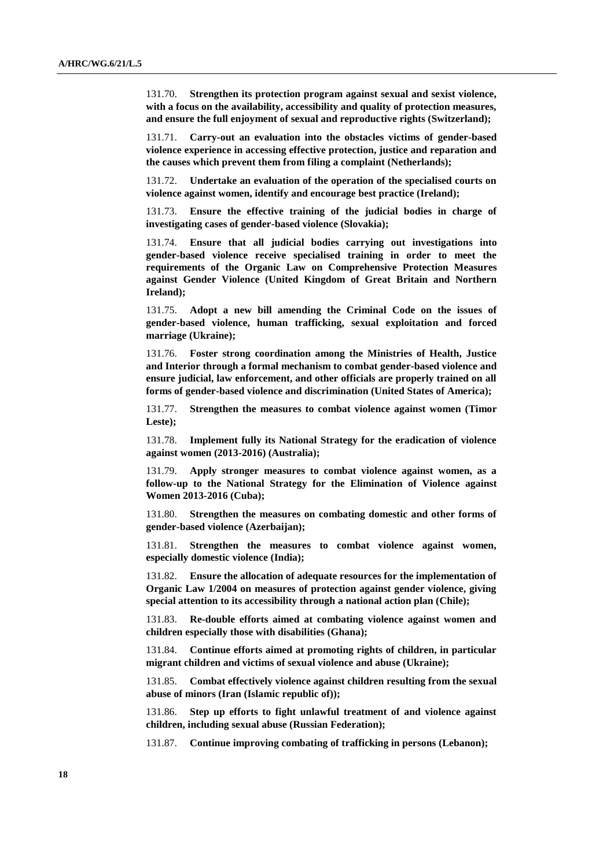131.70. **Strengthen its protection program against sexual and sexist violence, with a focus on the availability, accessibility and quality of protection measures, and ensure the full enjoyment of sexual and reproductive rights (Switzerland);**

131.71. **Carry-out an evaluation into the obstacles victims of gender-based violence experience in accessing effective protection, justice and reparation and the causes which prevent them from filing a complaint (Netherlands);**

131.72. **Undertake an evaluation of the operation of the specialised courts on violence against women, identify and encourage best practice (Ireland);**

131.73. **Ensure the effective training of the judicial bodies in charge of investigating cases of gender-based violence (Slovakia);** 

131.74. **Ensure that all judicial bodies carrying out investigations into gender-based violence receive specialised training in order to meet the requirements of the Organic Law on Comprehensive Protection Measures against Gender Violence (United Kingdom of Great Britain and Northern Ireland);**

131.75. **Adopt a new bill amending the Criminal Code on the issues of gender-based violence, human trafficking, sexual exploitation and forced marriage (Ukraine);** 

131.76. **Foster strong coordination among the Ministries of Health, Justice and Interior through a formal mechanism to combat gender-based violence and ensure judicial, law enforcement, and other officials are properly trained on all forms of gender-based violence and discrimination (United States of America);**

131.77. **Strengthen the measures to combat violence against women (Timor Leste);**

131.78. **Implement fully its National Strategy for the eradication of violence against women (2013-2016) (Australia);** 

131.79. **Apply stronger measures to combat violence against women, as a follow-up to the National Strategy for the Elimination of Violence against Women 2013-2016 (Cuba);**

131.80. **Strengthen the measures on combating domestic and other forms of gender-based violence (Azerbaijan);**

131.81. **Strengthen the measures to combat violence against women, especially domestic violence (India);**

131.82. **Ensure the allocation of adequate resources for the implementation of Organic Law 1/2004 on measures of protection against gender violence, giving special attention to its accessibility through a national action plan (Chile);**

131.83. **Re-double efforts aimed at combating violence against women and children especially those with disabilities (Ghana);**

131.84. **Continue efforts aimed at promoting rights of children, in particular migrant children and victims of sexual violence and abuse (Ukraine);** 

131.85. **Combat effectively violence against children resulting from the sexual abuse of minors (Iran (Islamic republic of));** 

131.86. **Step up efforts to fight unlawful treatment of and violence against children, including sexual abuse (Russian Federation);**

131.87. **Continue improving combating of trafficking in persons (Lebanon);**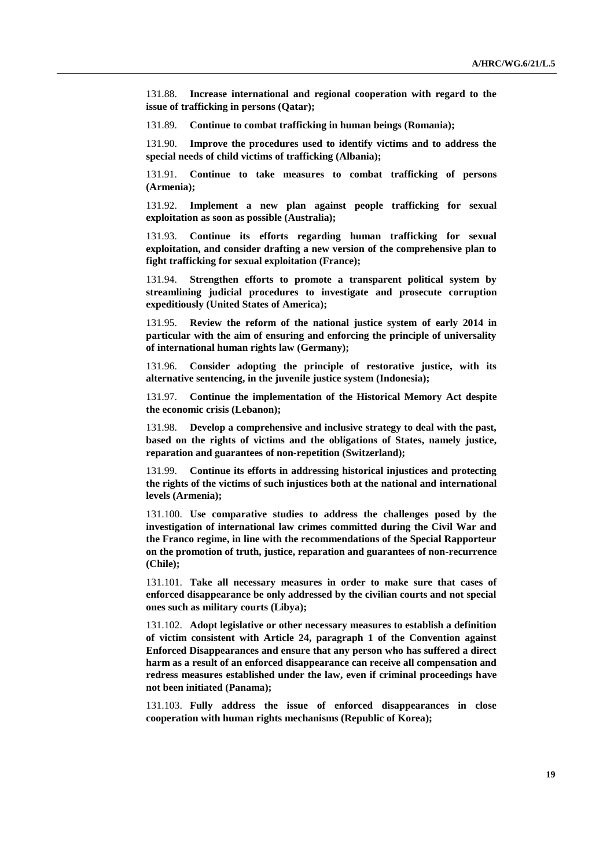131.88. **Increase international and regional cooperation with regard to the issue of trafficking in persons (Qatar);**

131.89. **Continue to combat trafficking in human beings (Romania);**

131.90. **Improve the procedures used to identify victims and to address the special needs of child victims of trafficking (Albania);** 

131.91. **Continue to take measures to combat trafficking of persons (Armenia);** 

131.92. **Implement a new plan against people trafficking for sexual exploitation as soon as possible (Australia);** 

131.93. **Continue its efforts regarding human trafficking for sexual exploitation, and consider drafting a new version of the comprehensive plan to fight trafficking for sexual exploitation (France);**

131.94. **Strengthen efforts to promote a transparent political system by streamlining judicial procedures to investigate and prosecute corruption expeditiously (United States of America);**

131.95. **Review the reform of the national justice system of early 2014 in particular with the aim of ensuring and enforcing the principle of universality of international human rights law (Germany);**

131.96. **Consider adopting the principle of restorative justice, with its alternative sentencing, in the juvenile justice system (Indonesia);**

131.97. **Continue the implementation of the Historical Memory Act despite the economic crisis (Lebanon);**

131.98. **Develop a comprehensive and inclusive strategy to deal with the past, based on the rights of victims and the obligations of States, namely justice, reparation and guarantees of non-repetition (Switzerland);**

131.99. **Continue its efforts in addressing historical injustices and protecting the rights of the victims of such injustices both at the national and international levels (Armenia);** 

131.100. **Use comparative studies to address the challenges posed by the investigation of international law crimes committed during the Civil War and the Franco regime, in line with the recommendations of the Special Rapporteur on the promotion of truth, justice, reparation and guarantees of non-recurrence (Chile);**

131.101. **Take all necessary measures in order to make sure that cases of enforced disappearance be only addressed by the civilian courts and not special ones such as military courts (Libya);**

131.102. **Adopt legislative or other necessary measures to establish a definition of victim consistent with Article 24, paragraph 1 of the Convention against Enforced Disappearances and ensure that any person who has suffered a direct harm as a result of an enforced disappearance can receive all compensation and redress measures established under the law, even if criminal proceedings have not been initiated (Panama);**

131.103. **Fully address the issue of enforced disappearances in close cooperation with human rights mechanisms (Republic of Korea);**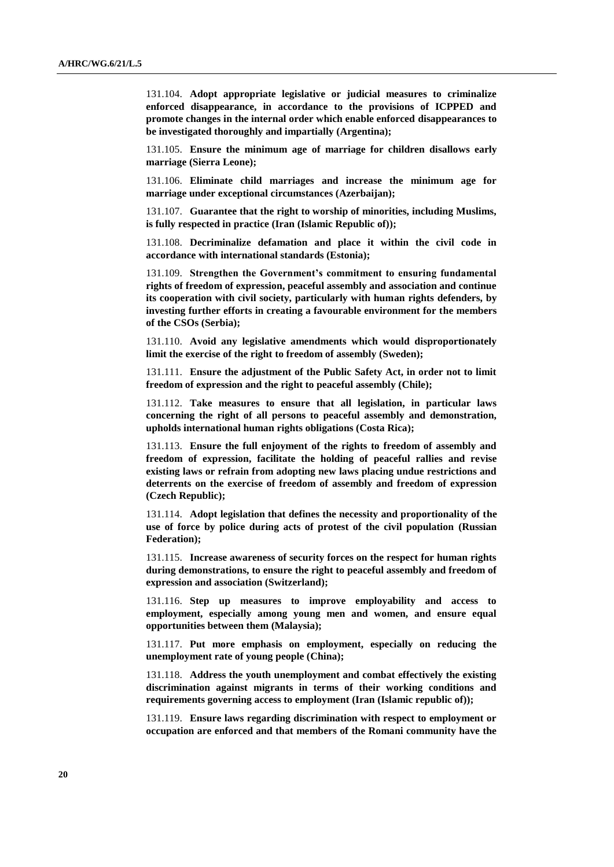131.104. **Adopt appropriate legislative or judicial measures to criminalize enforced disappearance, in accordance to the provisions of ICPPED and promote changes in the internal order which enable enforced disappearances to be investigated thoroughly and impartially (Argentina);**

131.105. **Ensure the minimum age of marriage for children disallows early marriage (Sierra Leone);**

131.106. **Eliminate child marriages and increase the minimum age for marriage under exceptional circumstances (Azerbaijan);**

131.107. **Guarantee that the right to worship of minorities, including Muslims, is fully respected in practice (Iran (Islamic Republic of));**

131.108. **Decriminalize defamation and place it within the civil code in accordance with international standards (Estonia);**

131.109. **Strengthen the Government's commitment to ensuring fundamental rights of freedom of expression, peaceful assembly and association and continue its cooperation with civil society, particularly with human rights defenders, by investing further efforts in creating a favourable environment for the members of the CSOs (Serbia);** 

131.110. **Avoid any legislative amendments which would disproportionately limit the exercise of the right to freedom of assembly (Sweden);**

131.111. **Ensure the adjustment of the Public Safety Act, in order not to limit freedom of expression and the right to peaceful assembly (Chile);**

131.112. **Take measures to ensure that all legislation, in particular laws concerning the right of all persons to peaceful assembly and demonstration, upholds international human rights obligations (Costa Rica);**

131.113. **Ensure the full enjoyment of the rights to freedom of assembly and freedom of expression, facilitate the holding of peaceful rallies and revise existing laws or refrain from adopting new laws placing undue restrictions and deterrents on the exercise of freedom of assembly and freedom of expression (Czech Republic);**

131.114. **Adopt legislation that defines the necessity and proportionality of the use of force by police during acts of protest of the civil population (Russian Federation);**

131.115. **Increase awareness of security forces on the respect for human rights during demonstrations, to ensure the right to peaceful assembly and freedom of expression and association (Switzerland);**

131.116. **Step up measures to improve employability and access to employment, especially among young men and women, and ensure equal opportunities between them (Malaysia);**

131.117. **Put more emphasis on employment, especially on reducing the unemployment rate of young people (China);**

131.118. **Address the youth unemployment and combat effectively the existing discrimination against migrants in terms of their working conditions and requirements governing access to employment (Iran (Islamic republic of));**

131.119. **Ensure laws regarding discrimination with respect to employment or occupation are enforced and that members of the Romani community have the**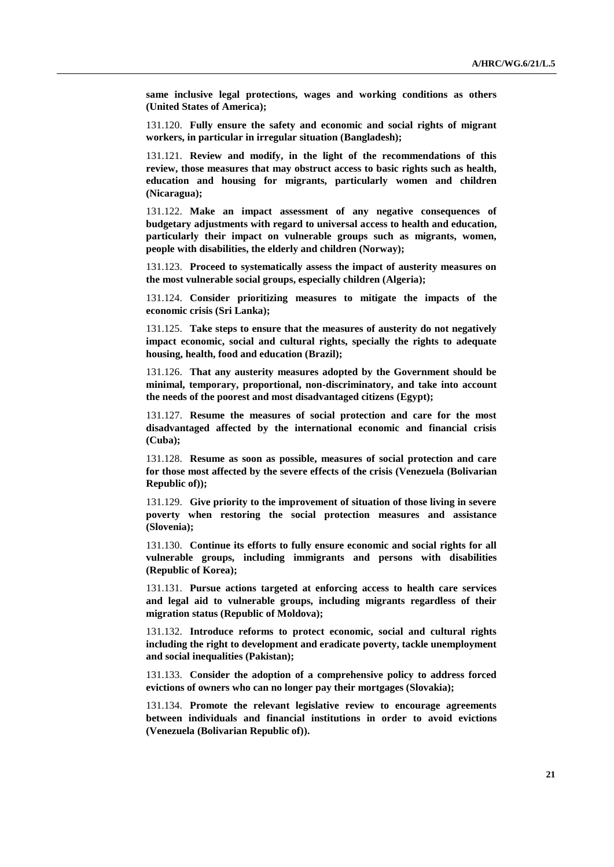**same inclusive legal protections, wages and working conditions as others (United States of America);**

131.120. **Fully ensure the safety and economic and social rights of migrant workers, in particular in irregular situation (Bangladesh);** 

131.121. **Review and modify, in the light of the recommendations of this review, those measures that may obstruct access to basic rights such as health, education and housing for migrants, particularly women and children (Nicaragua);**

131.122. **Make an impact assessment of any negative consequences of budgetary adjustments with regard to universal access to health and education, particularly their impact on vulnerable groups such as migrants, women, people with disabilities, the elderly and children (Norway);** 

131.123. **Proceed to systematically assess the impact of austerity measures on the most vulnerable social groups, especially children (Algeria);**

131.124. **Consider prioritizing measures to mitigate the impacts of the economic crisis (Sri Lanka);** 

131.125. **Take steps to ensure that the measures of austerity do not negatively impact economic, social and cultural rights, specially the rights to adequate housing, health, food and education (Brazil);**

131.126. **That any austerity measures adopted by the Government should be minimal, temporary, proportional, non-discriminatory, and take into account the needs of the poorest and most disadvantaged citizens (Egypt);** 

131.127. **Resume the measures of social protection and care for the most disadvantaged affected by the international economic and financial crisis (Cuba);**

131.128. **Resume as soon as possible, measures of social protection and care for those most affected by the severe effects of the crisis (Venezuela (Bolivarian Republic of));**

131.129. **Give priority to the improvement of situation of those living in severe poverty when restoring the social protection measures and assistance (Slovenia);**

131.130. **Continue its efforts to fully ensure economic and social rights for all vulnerable groups, including immigrants and persons with disabilities (Republic of Korea);** 

131.131. **Pursue actions targeted at enforcing access to health care services and legal aid to vulnerable groups, including migrants regardless of their migration status (Republic of Moldova);** 

131.132. **Introduce reforms to protect economic, social and cultural rights including the right to development and eradicate poverty, tackle unemployment and social inequalities (Pakistan);**

131.133. **Consider the adoption of a comprehensive policy to address forced evictions of owners who can no longer pay their mortgages (Slovakia);** 

131.134. **Promote the relevant legislative review to encourage agreements between individuals and financial institutions in order to avoid evictions (Venezuela (Bolivarian Republic of)).**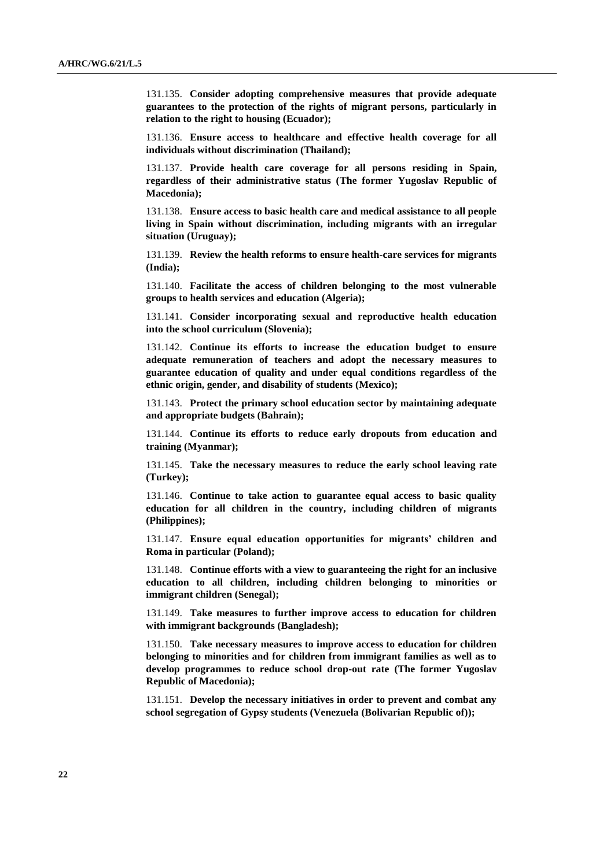131.135. **Consider adopting comprehensive measures that provide adequate guarantees to the protection of the rights of migrant persons, particularly in relation to the right to housing (Ecuador);**

131.136. **Ensure access to healthcare and effective health coverage for all individuals without discrimination (Thailand);** 

131.137. **Provide health care coverage for all persons residing in Spain, regardless of their administrative status (The former Yugoslav Republic of Macedonia);**

131.138. **Ensure access to basic health care and medical assistance to all people living in Spain without discrimination, including migrants with an irregular situation (Uruguay);**

131.139. **Review the health reforms to ensure health-care services for migrants (India);**

131.140. **Facilitate the access of children belonging to the most vulnerable groups to health services and education (Algeria);**

131.141. **Consider incorporating sexual and reproductive health education into the school curriculum (Slovenia);**

131.142. **Continue its efforts to increase the education budget to ensure adequate remuneration of teachers and adopt the necessary measures to guarantee education of quality and under equal conditions regardless of the ethnic origin, gender, and disability of students (Mexico);**

131.143. **Protect the primary school education sector by maintaining adequate and appropriate budgets (Bahrain);** 

131.144. **Continue its efforts to reduce early dropouts from education and training (Myanmar);**

131.145. **Take the necessary measures to reduce the early school leaving rate (Turkey);** 

131.146. **Continue to take action to guarantee equal access to basic quality education for all children in the country, including children of migrants (Philippines);** 

131.147. **Ensure equal education opportunities for migrants' children and Roma in particular (Poland);**

131.148. **Continue efforts with a view to guaranteeing the right for an inclusive education to all children, including children belonging to minorities or immigrant children (Senegal);**

131.149. **Take measures to further improve access to education for children with immigrant backgrounds (Bangladesh);** 

131.150. **Take necessary measures to improve access to education for children belonging to minorities and for children from immigrant families as well as to develop programmes to reduce school drop-out rate (The former Yugoslav Republic of Macedonia);**

131.151. **Develop the necessary initiatives in order to prevent and combat any school segregation of Gypsy students (Venezuela (Bolivarian Republic of));**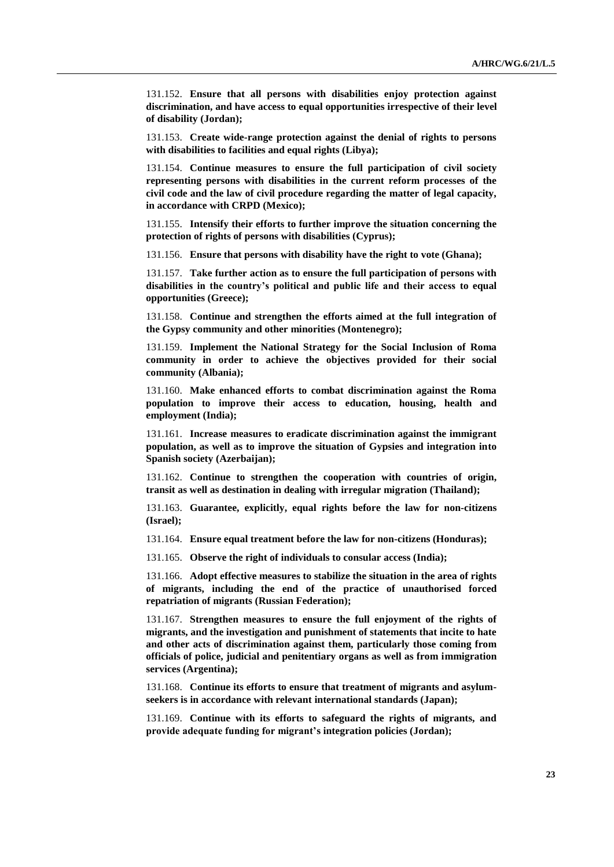131.152. **Ensure that all persons with disabilities enjoy protection against discrimination, and have access to equal opportunities irrespective of their level of disability (Jordan);** 

131.153. **Create wide-range protection against the denial of rights to persons with disabilities to facilities and equal rights (Libya);**

131.154. **Continue measures to ensure the full participation of civil society representing persons with disabilities in the current reform processes of the civil code and the law of civil procedure regarding the matter of legal capacity, in accordance with CRPD (Mexico);**

131.155. **Intensify their efforts to further improve the situation concerning the protection of rights of persons with disabilities (Cyprus);** 

131.156. **Ensure that persons with disability have the right to vote (Ghana);**

131.157. **Take further action as to ensure the full participation of persons with disabilities in the country's political and public life and their access to equal opportunities (Greece);**

131.158. **Continue and strengthen the efforts aimed at the full integration of the Gypsy community and other minorities (Montenegro);**

131.159. **Implement the National Strategy for the Social Inclusion of Roma community in order to achieve the objectives provided for their social community (Albania);** 

131.160. **Make enhanced efforts to combat discrimination against the Roma population to improve their access to education, housing, health and employment (India);**

131.161. **Increase measures to eradicate discrimination against the immigrant population, as well as to improve the situation of Gypsies and integration into Spanish society (Azerbaijan);**

131.162. **Continue to strengthen the cooperation with countries of origin, transit as well as destination in dealing with irregular migration (Thailand);** 

131.163. **Guarantee, explicitly, equal rights before the law for non-citizens (Israel);**

131.164. **Ensure equal treatment before the law for non-citizens (Honduras);**

131.165. **Observe the right of individuals to consular access (India);**

131.166. **Adopt effective measures to stabilize the situation in the area of rights of migrants, including the end of the practice of unauthorised forced repatriation of migrants (Russian Federation);**

131.167. **Strengthen measures to ensure the full enjoyment of the rights of migrants, and the investigation and punishment of statements that incite to hate and other acts of discrimination against them, particularly those coming from officials of police, judicial and penitentiary organs as well as from immigration services (Argentina);**

131.168. **Continue its efforts to ensure that treatment of migrants and asylumseekers is in accordance with relevant international standards (Japan);**

131.169. **Continue with its efforts to safeguard the rights of migrants, and provide adequate funding for migrant's integration policies (Jordan);**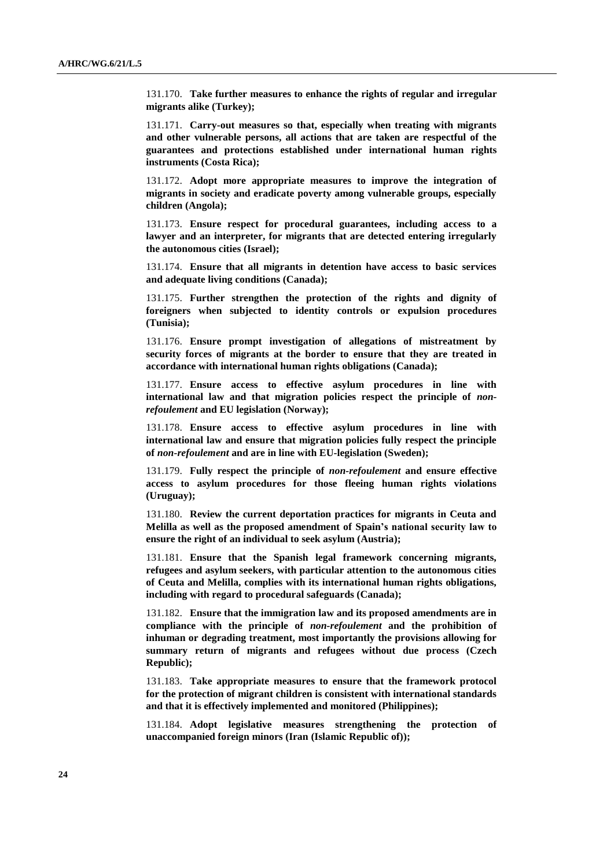131.170. **Take further measures to enhance the rights of regular and irregular migrants alike (Turkey);**

131.171. **Carry-out measures so that, especially when treating with migrants and other vulnerable persons, all actions that are taken are respectful of the guarantees and protections established under international human rights instruments (Costa Rica);**

131.172. **Adopt more appropriate measures to improve the integration of migrants in society and eradicate poverty among vulnerable groups, especially children (Angola);**

131.173. **Ensure respect for procedural guarantees, including access to a lawyer and an interpreter, for migrants that are detected entering irregularly the autonomous cities (Israel);**

131.174. **Ensure that all migrants in detention have access to basic services and adequate living conditions (Canada);**

131.175. **Further strengthen the protection of the rights and dignity of foreigners when subjected to identity controls or expulsion procedures (Tunisia);**

131.176. **Ensure prompt investigation of allegations of mistreatment by security forces of migrants at the border to ensure that they are treated in accordance with international human rights obligations (Canada);**

131.177. **Ensure access to effective asylum procedures in line with international law and that migration policies respect the principle of** *nonrefoulement* **and EU legislation (Norway);** 

131.178. **Ensure access to effective asylum procedures in line with international law and ensure that migration policies fully respect the principle of** *non-refoulement* **and are in line with EU-legislation (Sweden);**

131.179. **Fully respect the principle of** *non-refoulement* **and ensure effective access to asylum procedures for those fleeing human rights violations (Uruguay);**

131.180. **Review the current deportation practices for migrants in Ceuta and Melilla as well as the proposed amendment of Spain's national security law to ensure the right of an individual to seek asylum (Austria);**

131.181. **Ensure that the Spanish legal framework concerning migrants, refugees and asylum seekers, with particular attention to the autonomous cities of Ceuta and Melilla, complies with its international human rights obligations, including with regard to procedural safeguards (Canada);**

131.182. **Ensure that the immigration law and its proposed amendments are in compliance with the principle of** *non-refoulement* **and the prohibition of inhuman or degrading treatment, most importantly the provisions allowing for summary return of migrants and refugees without due process (Czech Republic);** 

131.183. **Take appropriate measures to ensure that the framework protocol for the protection of migrant children is consistent with international standards and that it is effectively implemented and monitored (Philippines);** 

131.184. **Adopt legislative measures strengthening the protection of unaccompanied foreign minors (Iran (Islamic Republic of));**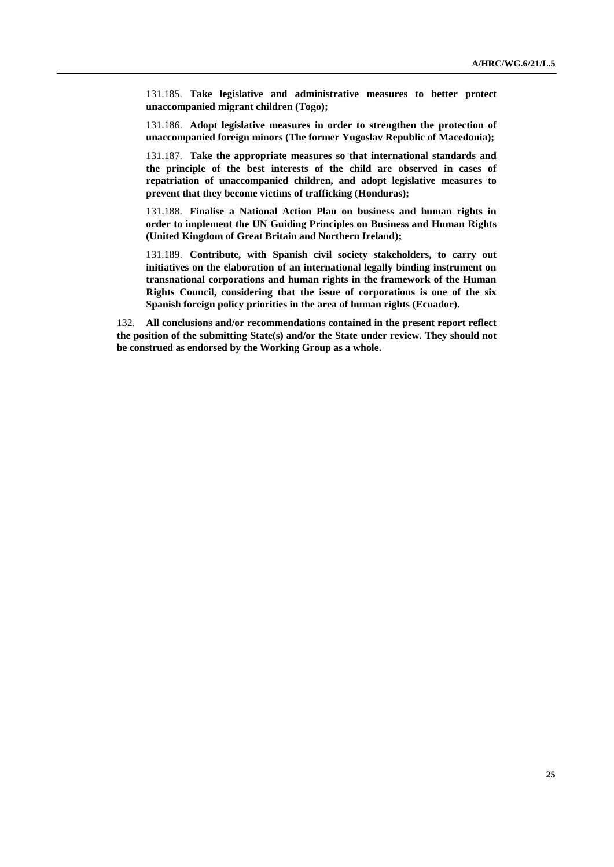131.185. **Take legislative and administrative measures to better protect unaccompanied migrant children (Togo);**

131.186. **Adopt legislative measures in order to strengthen the protection of unaccompanied foreign minors (The former Yugoslav Republic of Macedonia);**

131.187. **Take the appropriate measures so that international standards and the principle of the best interests of the child are observed in cases of repatriation of unaccompanied children, and adopt legislative measures to prevent that they become victims of trafficking (Honduras);**

131.188. **Finalise a National Action Plan on business and human rights in order to implement the UN Guiding Principles on Business and Human Rights (United Kingdom of Great Britain and Northern Ireland);**

131.189. **Contribute, with Spanish civil society stakeholders, to carry out initiatives on the elaboration of an international legally binding instrument on transnational corporations and human rights in the framework of the Human Rights Council, considering that the issue of corporations is one of the six Spanish foreign policy priorities in the area of human rights (Ecuador).**

132. **All conclusions and/or recommendations contained in the present report reflect the position of the submitting State(s) and/or the State under review. They should not be construed as endorsed by the Working Group as a whole.**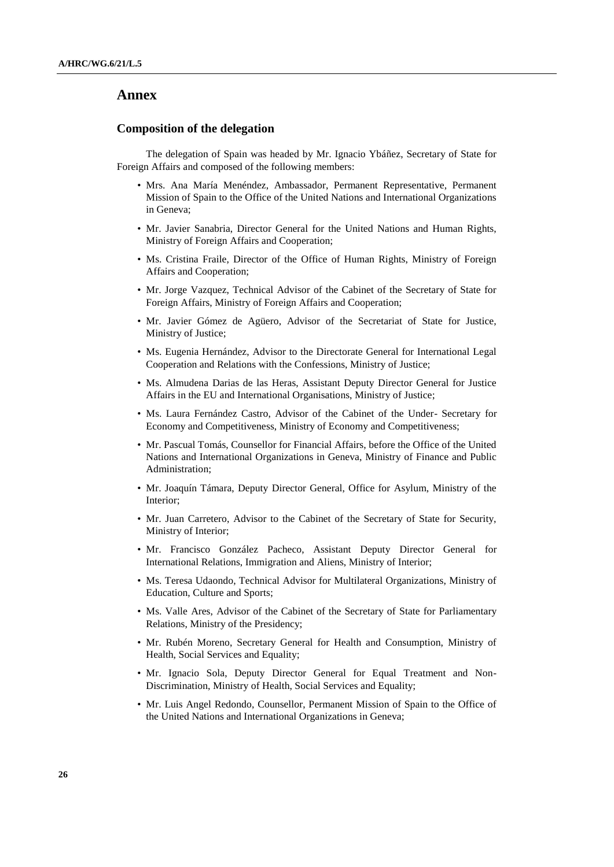## **Annex**

### **Composition of the delegation**

The delegation of Spain was headed by Mr. Ignacio Ybáñez, Secretary of State for Foreign Affairs and composed of the following members:

- Mrs. Ana María Menéndez, Ambassador, Permanent Representative, Permanent Mission of Spain to the Office of the United Nations and International Organizations in Geneva;
- Mr. Javier Sanabria, Director General for the United Nations and Human Rights, Ministry of Foreign Affairs and Cooperation;
- Ms. Cristina Fraile, Director of the Office of Human Rights, Ministry of Foreign Affairs and Cooperation;
- Mr. Jorge Vazquez, Technical Advisor of the Cabinet of the Secretary of State for Foreign Affairs, Ministry of Foreign Affairs and Cooperation;
- Mr. Javier Gómez de Agüero, Advisor of the Secretariat of State for Justice, Ministry of Justice;
- Ms. Eugenia Hernández, Advisor to the Directorate General for International Legal Cooperation and Relations with the Confessions, Ministry of Justice;
- Ms. Almudena Darias de las Heras, Assistant Deputy Director General for Justice Affairs in the EU and International Organisations, Ministry of Justice;
- Ms. Laura Fernández Castro, Advisor of the Cabinet of the Under- Secretary for Economy and Competitiveness, Ministry of Economy and Competitiveness;
- Mr. Pascual Tomás, Counsellor for Financial Affairs, before the Office of the United Nations and International Organizations in Geneva, Ministry of Finance and Public Administration;
- Mr. Joaquín Támara, Deputy Director General, Office for Asylum, Ministry of the Interior;
- Mr. Juan Carretero, Advisor to the Cabinet of the Secretary of State for Security, Ministry of Interior;
- Mr. Francisco González Pacheco, Assistant Deputy Director General for International Relations, Immigration and Aliens, Ministry of Interior;
- Ms. Teresa Udaondo, Technical Advisor for Multilateral Organizations, Ministry of Education, Culture and Sports;
- Ms. Valle Ares, Advisor of the Cabinet of the Secretary of State for Parliamentary Relations, Ministry of the Presidency;
- Mr. Rubén Moreno, Secretary General for Health and Consumption, Ministry of Health, Social Services and Equality;
- Mr. Ignacio Sola, Deputy Director General for Equal Treatment and Non-Discrimination, Ministry of Health, Social Services and Equality;
- Mr. Luis Angel Redondo, Counsellor, Permanent Mission of Spain to the Office of the United Nations and International Organizations in Geneva;